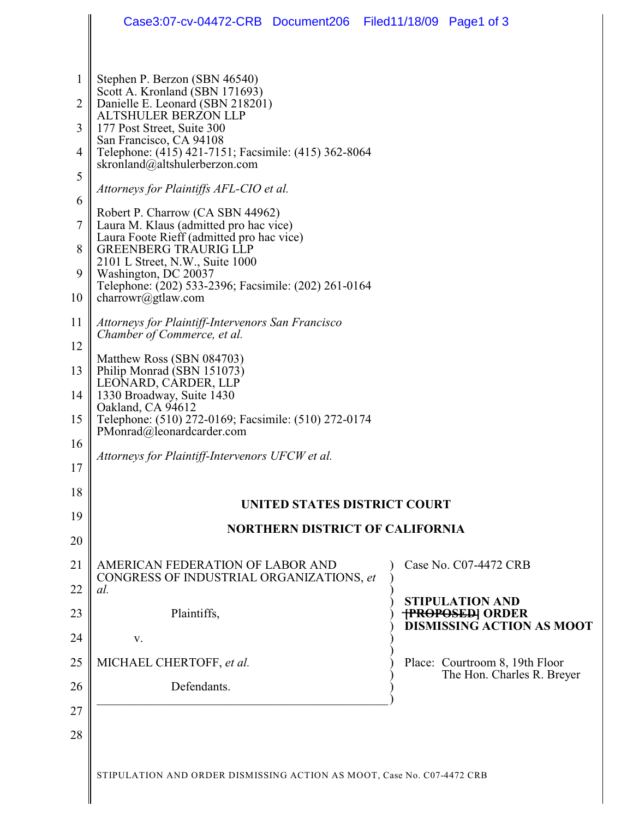|              | Case3:07-cv-04472-CRB Document206 Filed11/18/09 Page1 of 3                            |                                                              |  |
|--------------|---------------------------------------------------------------------------------------|--------------------------------------------------------------|--|
|              |                                                                                       |                                                              |  |
| $\mathbf{1}$ | Stephen P. Berzon (SBN 46540)<br>Scott A. Kronland (SBN 171693)                       |                                                              |  |
| 2            | Danielle E. Leonard (SBN 218201)<br><b>ALTSHULER BERZON LLP</b>                       |                                                              |  |
| 3            | 177 Post Street, Suite 300<br>San Francisco, CA 94108                                 |                                                              |  |
| 4<br>5       | Telephone: (415) 421-7151; Facsimile: (415) 362-8064<br>skronland@altshulerberzon.com |                                                              |  |
|              | Attorneys for Plaintiffs AFL-CIO et al.                                               |                                                              |  |
| 6            | Robert P. Charrow (CA SBN 44962)                                                      |                                                              |  |
| 7            | Laura M. Klaus (admitted pro hac vice)<br>Laura Foote Rieff (admitted pro hac vice)   |                                                              |  |
| 8            | <b>GREENBERG TRAURIG LLP</b><br>2101 L Street, N.W., Suite 1000                       |                                                              |  |
| 9            | Washington, DC 20037<br>Telephone: (202) 533-2396; Facsimile: (202) 261-0164          |                                                              |  |
| 10           | charrowr@gtlaw.com                                                                    |                                                              |  |
| 11           | Attorneys for Plaintiff-Intervenors San Francisco<br>Chamber of Commerce, et al.      |                                                              |  |
| 12           | Matthew Ross (SBN 084703)                                                             |                                                              |  |
| 13           | Philip Monrad (SBN 151073)<br>LEONARD, CARDER, LLP                                    |                                                              |  |
| 14           | 1330 Broadway, Suite 1430<br>Oakland, CA 94612                                        |                                                              |  |
| 15           | Telephone: (510) 272-0169; Facsimile: (510) 272-0174<br>PMonrad@leonardcarder.com     |                                                              |  |
| 16           | Attorneys for Plaintiff-Intervenors UFCW et al.                                       |                                                              |  |
| 17           |                                                                                       |                                                              |  |
| 18           | UNITED STATES DISTRICT COURT                                                          |                                                              |  |
| 19           | <b>NORTHERN DISTRICT OF CALIFORNIA</b>                                                |                                                              |  |
| 20           |                                                                                       |                                                              |  |
| 21           | AMERICAN FEDERATION OF LABOR AND<br>CONGRESS OF INDUSTRIAL ORGANIZATIONS, et          | Case No. C07-4472 CRB                                        |  |
| 22           | al.                                                                                   | <b>STIPULATION AND</b>                                       |  |
| 23           | Plaintiffs,                                                                           | <b>TPROPOSED ORDER</b><br><b>DISMISSING ACTION AS MOOT</b>   |  |
| 24           | V.                                                                                    |                                                              |  |
| 25           | MICHAEL CHERTOFF, et al.                                                              | Place: Courtroom 8, 19th Floor<br>The Hon. Charles R. Breyer |  |
| 26           | Defendants.                                                                           |                                                              |  |
| 27           |                                                                                       |                                                              |  |
| 28           |                                                                                       |                                                              |  |
|              | STIPULATION AND ORDER DISMISSING ACTION AS MOOT, Case No. C07-4472 CRB                |                                                              |  |
|              |                                                                                       |                                                              |  |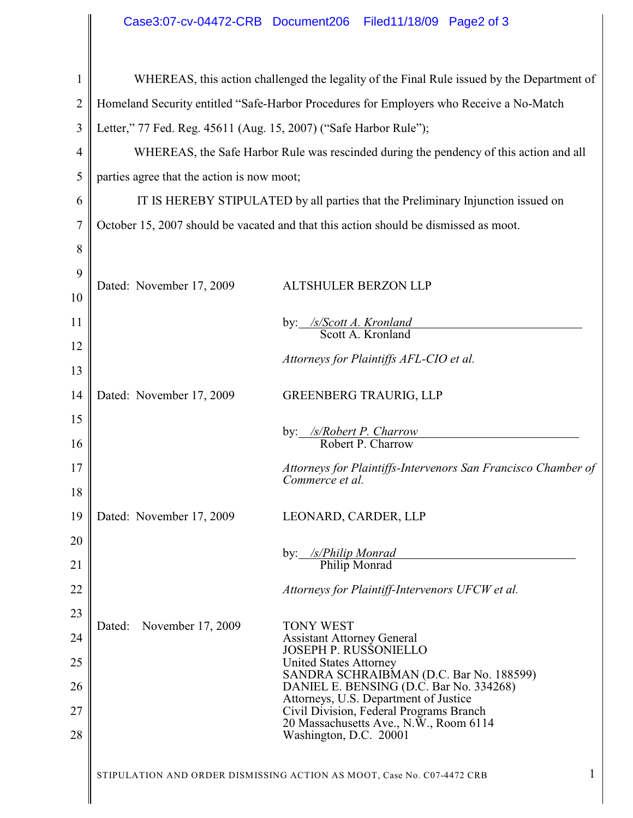## Case3:07-cv-04472-CRB Document206 Filed11/18/09 Page2 of 3

|    | Case3:07-cv-04472-CRB Document206                                                          | Filed11/18/09 Page2 of 3                                                          |
|----|--------------------------------------------------------------------------------------------|-----------------------------------------------------------------------------------|
|    |                                                                                            |                                                                                   |
| 1  | WHEREAS, this action challenged the legality of the Final Rule issued by the Department of |                                                                                   |
| 2  | Homeland Security entitled "Safe-Harbor Procedures for Employers who Receive a No-Match    |                                                                                   |
| 3  | Letter," 77 Fed. Reg. 45611 (Aug. 15, 2007) ("Safe Harbor Rule");                          |                                                                                   |
| 4  | WHEREAS, the Safe Harbor Rule was rescinded during the pendency of this action and all     |                                                                                   |
| 5  | parties agree that the action is now moot;                                                 |                                                                                   |
| 6  | IT IS HEREBY STIPULATED by all parties that the Preliminary Injunction issued on           |                                                                                   |
| 7  | October 15, 2007 should be vacated and that this action should be dismissed as moot.       |                                                                                   |
| 8  |                                                                                            |                                                                                   |
| 9  | Dated: November 17, 2009                                                                   | <b>ALTSHULER BERZON LLP</b>                                                       |
| 10 |                                                                                            |                                                                                   |
| 11 |                                                                                            | by: /s/Scott A. Kronland<br>Scott A. Kronland                                     |
| 12 |                                                                                            | Attorneys for Plaintiffs AFL-CIO et al.                                           |
| 13 |                                                                                            |                                                                                   |
| 14 | Dated: November 17, 2009                                                                   | <b>GREENBERG TRAURIG, LLP</b>                                                     |
| 15 |                                                                                            | by: /s/Robert P. Charrow                                                          |
| 16 |                                                                                            | Robert P. Charrow                                                                 |
| 17 |                                                                                            | Attorneys for Plaintiffs-Intervenors San Francisco Chamber of<br>Commerce et al.  |
| 18 |                                                                                            |                                                                                   |
| 19 | Dated: November 17, 2009                                                                   | LEONARD, CARDER, LLP                                                              |
| 20 |                                                                                            | by: /s/Philip Monrad                                                              |
| 21 |                                                                                            | Philip Monrad                                                                     |
| 22 |                                                                                            | Attorneys for Plaintiff-Intervenors UFCW et al.                                   |
| 23 | November 17, 2009<br>Dated:                                                                | <b>TONY WEST</b>                                                                  |
| 24 |                                                                                            | <b>Assistant Attorney General</b><br><b>JOSEPH P. RUSSONIELLO</b>                 |
| 25 |                                                                                            | <b>United States Attorney</b><br>SANDRA SCHRAIBMAN (D.C. Bar No. 188599)          |
| 26 |                                                                                            | DANIEL E. BENSING (D.C. Bar No. 334268)<br>Attorneys, U.S. Department of Justice  |
| 27 |                                                                                            | Civil Division, Federal Programs Branch<br>20 Massachusetts Ave., N.W., Room 6114 |
| 28 |                                                                                            | Washington, D.C. 20001                                                            |
|    |                                                                                            | 1<br>STIPULATION AND ORDER DISMISSING ACTION AS MOOT, Case No. C07-4472 CRB       |